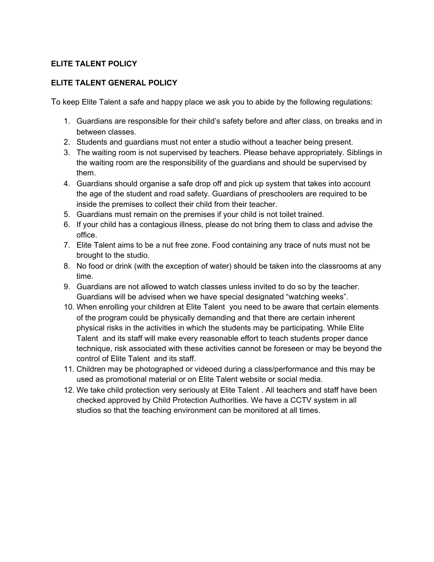## **ELITE TALENT POLICY**

## **ELITE TALENT GENERAL POLICY**

To keep Elite Talent a safe and happy place we ask you to abide by the following regulations:

- 1. Guardians are responsible for their child's safety before and after class, on breaks and in between classes.
- 2. Students and guardians must not enter a studio without a teacher being present.
- 3. The waiting room is not supervised by teachers. Please behave appropriately. Siblings in the waiting room are the responsibility of the guardians and should be supervised by them.
- 4. Guardians should organise a safe drop off and pick up system that takes into account the age of the student and road safety. Guardians of preschoolers are required to be inside the premises to collect their child from their teacher.
- 5. Guardians must remain on the premises if your child is not toilet trained.
- 6. If your child has a contagious illness, please do not bring them to class and advise the office.
- 7. Elite Talent aims to be a nut free zone. Food containing any trace of nuts must not be brought to the studio.
- 8. No food or drink (with the exception of water) should be taken into the classrooms at any time.
- 9. Guardians are not allowed to watch classes unless invited to do so by the teacher. Guardians will be advised when we have special designated "watching weeks".
- 10. When enrolling your children at Elite Talent you need to be aware that certain elements of the program could be physically demanding and that there are certain inherent physical risks in the activities in which the students may be participating. While Elite Talent and its staff will make every reasonable effort to teach students proper dance technique, risk associated with these activities cannot be foreseen or may be beyond the control of Elite Talent and its staff.
- 11. Children may be photographed or videoed during a class/performance and this may be used as promotional material or on Elite Talent website or social media.
- 12. We take child protection very seriously at Elite Talent . All teachers and staff have been checked approved by Child Protection Authorities. We have a CCTV system in all studios so that the teaching environment can be monitored at all times.